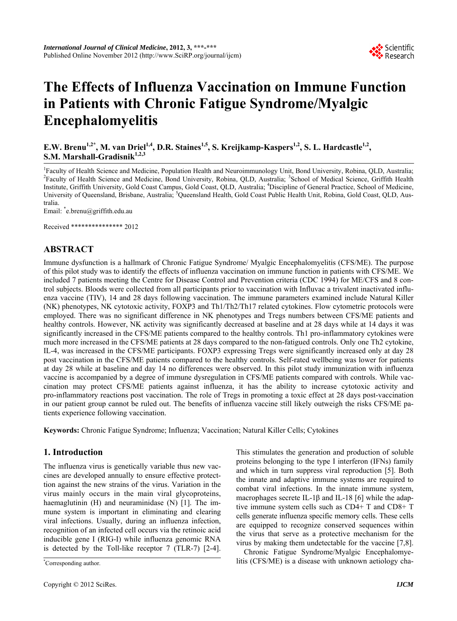

# **The Effects of Influenza Vaccination on Immune Function in Patients with Chronic Fatigue Syndrome/Myalgic Encephalomyelitis**

**E.W. Brenu<sup>1,2\*</sup>, M. van Driel<sup>1,4</sup>, D.R. Staines<sup>1,5</sup>, S. Kreijkamp-Kaspers<sup>1,2</sup>, S. L. Hardcastle<sup>1,2</sup>, S.M. Marshall-Gradisnik**<sup>1,2,3</sup>

<sup>1</sup> Faculty of Health Science and Medicine, Population Health and Neuroimmunology Unit, Bond University, Robina, QLD, Australia; <sup>2</sup> Feaulty of Health Science and Medicine, Bond University, Robina, QLD, Australia; <sup>2</sup> Scho Faculty of Health Science and Medicine, Bond University, Robina, QLD, Australia; <sup>3</sup>School of Medical Science, Griffith Health Institute, Griffith University, Gold Coast Campus, Gold Coast, QLD, Australia; <sup>4</sup> Discipline of General Practice, School of Medicine, University of Queensland, Brisbane, Australia; <sup>5</sup>Queensland Health, Gold Coast Public Health Unit, Robina, Gold Coast, QLD, Australia.

Email: \* e.brenu@griffith.edu.au

Received \*\*\*\*\*\*\*\*\*\*\*\*\*\*\* 2012

# **ABSTRACT**

Immune dysfunction is a hallmark of Chronic Fatigue Syndrome/ Myalgic Encephalomyelitis (CFS/ME). The purpose of this pilot study was to identify the effects of influenza vaccination on immune function in patients with CFS/ME. We included 7 patients meeting the Centre for Disease Control and Prevention criteria (CDC 1994) for ME/CFS and 8 control subjects. Bloods were collected from all participants prior to vaccination with Influvac a trivalent inactivated influenza vaccine (TIV), 14 and 28 days following vaccination. The immune parameters examined include Natural Killer (NK) phenotypes, NK cytotoxic activity, FOXP3 and Th1/Th2/Th17 related cytokines. Flow cytometric protocols were employed. There was no significant difference in NK phenotypes and Tregs numbers between CFS/ME patients and healthy controls. However, NK activity was significantly decreased at baseline and at 28 days while at 14 days it was significantly increased in the CFS/ME patients compared to the healthy controls. Th1 pro-inflammatory cytokines were much more increased in the CFS/ME patients at 28 days compared to the non-fatigued controls. Only one Th2 cytokine, IL-4, was increased in the CFS/ME participants. FOXP3 expressing Tregs were significantly increased only at day 28 post vaccination in the CFS/ME patients compared to the healthy controls. Self-rated wellbeing was lower for patients at day 28 while at baseline and day 14 no differences were observed. In this pilot study immunization with influenza vaccine is accompanied by a degree of immune dysregulation in CFS/ME patients compared with controls. While vaccination may protect CFS/ME patients against influenza, it has the ability to increase cytotoxic activity and pro-inflammatory reactions post vaccination. The role of Tregs in promoting a toxic effect at 28 days post-vaccination in our patient group cannot be ruled out. The benefits of influenza vaccine still likely outweigh the risks CFS/ME patients experience following vaccination.

**Keywords:** Chronic Fatigue Syndrome; Influenza; Vaccination; Natural Killer Cells; Cytokines

# **1. Introduction**

The influenza virus is genetically variable thus new vaccines are developed annually to ensure effective protecttion against the new strains of the virus. Variation in the virus mainly occurs in the main viral glycoproteins, haemaglutinin (H) and neuraminidase (N) [1]. The immune system is important in eliminating and clearing viral infections. Usually, during an influenza infection, recognition of an infected cell occurs via the retinoic acid inducible gene I (RIG-I) while influenza genomic RNA is detected by the Toll-like receptor 7 (TLR-7) [2-4].

This stimulates the generation and production of soluble proteins belonging to the type I interferon (IFNs) family and which in turn suppress viral reproduction [5]. Both the innate and adaptive immune systems are required to combat viral infections. In the innate immune system, macrophages secrete IL-1 $\beta$  and IL-18 [6] while the adaptive immune system cells such as CD4+ T and CD8+ T cells generate influenza specific memory cells. These cells are equipped to recognize conserved sequences within the virus that serve as a protective mechanism for the virus by making them undetectable for the vaccine [7,8].

Chronic Fatigue Syndrome/Myalgic Encephalomyelitis (CFS/ME) is a disease with unknown aetiology cha-

Corresponding author.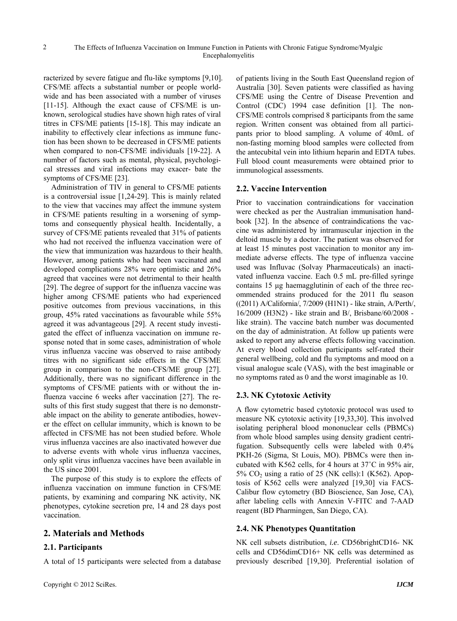racterized by severe fatigue and flu-like symptoms [9,10]. CFS/ME affects a substantial number or people worldwide and has been associated with a number of viruses [11-15]. Although the exact cause of CFS/ME is unknown, serological studies have shown high rates of viral titres in CFS/ME patients [15-18]. This may indicate an inability to effectively clear infections as immune function has been shown to be decreased in CFS/ME patients when compared to non-CFS/ME individuals [19-22]. A number of factors such as mental, physical, psychological stresses and viral infections may exacer- bate the symptoms of CFS/ME [23].

Administration of TIV in general to CFS/ME patients is a controversial issue [1,24-29]. This is mainly related to the view that vaccines may affect the immune system in CFS/ME patients resulting in a worsening of symptoms and consequently physical health. Incidentally, a survey of CFS/ME patients revealed that 31% of patients who had not received the influenza vaccination were of the view that immunization was hazardous to their health. However, among patients who had been vaccinated and developed complications 28% were optimistic and 26% agreed that vaccines were not detrimental to their health [29]. The degree of support for the influenza vaccine was higher among CFS/ME patients who had experienced positive outcomes from previous vaccinations, in this group, 45% rated vaccinations as favourable while 55% agreed it was advantageous [29]. A recent study investigated the effect of influenza vaccination on immune response noted that in some cases, administration of whole virus influenza vaccine was observed to raise antibody titres with no significant side effects in the CFS/ME group in comparison to the non-CFS/ME group [27]. Additionally, there was no significant difference in the symptoms of CFS/ME patients with or without the influenza vaccine 6 weeks after vaccination [27]. The results of this first study suggest that there is no demonstrable impact on the ability to generate antibodies, however the effect on cellular immunity, which is known to be affected in CFS/ME has not been studied before. Whole virus influenza vaccines are also inactivated however due to adverse events with whole virus influenza vaccines, only split virus influenza vaccines have been available in the US since 2001.

The purpose of this study is to explore the effects of influenza vaccination on immune function in CFS/ME patients, by examining and comparing NK activity, NK phenotypes, cytokine secretion pre, 14 and 28 days post vaccination.

## **2. Materials and Methods**

#### **2.1. Participants**

A total of 15 participants were selected from a database

of patients living in the South East Queensland region of Australia [30]. Seven patients were classified as having CFS/ME using the Centre of Disease Prevention and Control (CDC) 1994 case definition [1]. The non-CFS/ME controls comprised 8 participants from the same region. Written consent was obtained from all participants prior to blood sampling. A volume of 40mL of non-fasting morning blood samples were collected from the antecubital vein into lithium heparin and EDTA tubes. Full blood count measurements were obtained prior to immunological assessments.

#### **2.2. Vaccine Intervention**

Prior to vaccination contraindications for vaccination were checked as per the Australian immunisation handbook [32]. In the absence of contraindications the vaccine was administered by intramuscular injection in the deltoid muscle by a doctor. The patient was observed for at least 15 minutes post vaccination to monitor any immediate adverse effects. The type of influenza vaccine used was Influvac (Solvay Pharmaceuticals) an inactivated influenza vaccine. Each 0.5 mL pre-filled syringe contains 15 μg haemagglutinin of each of the three recommended strains produced for the 2011 flu season ((2011) A/California/, 7/2009 (H1N1) - like strain, A/Perth/, 16/2009 (H3N2) - like strain and B/, Brisbane/60/2008 like strain). The vaccine batch number was documented on the day of administration. At follow up patients were asked to report any adverse effects following vaccination. At every blood collection participants self-rated their general wellbeing, cold and flu symptoms and mood on a visual analogue scale (VAS), with the best imaginable or no symptoms rated as 0 and the worst imaginable as 10.

## **2.3. NK Cytotoxic Activity**

A flow cytometric based cytotoxic protocol was used to measure NK cytotoxic activity [19,33,30]. This involved isolating peripheral blood mononuclear cells (PBMCs) from whole blood samples using density gradient centrifugation. Subsequently cells were labeled with 0.4% PKH-26 (Sigma, St Louis, MO). PBMCs were then incubated with K562 cells, for 4 hours at 37˚C in 95% air,  $5\%$  CO<sub>2</sub> using a ratio of 25 (NK cells):1 (K562). Apoptosis of K562 cells were analyzed [19,30] via FACS-Calibur flow cytometry (BD Bioscience, San Jose, CA), after labeling cells with Annexin V-FITC and 7-AAD reagent (BD Pharmingen, San Diego, CA).

## **2.4. NK Phenotypes Quantitation**

NK cell subsets distribution, *i.e*. CD56brightCD16- NK cells and CD56dimCD16+ NK cells was determined as previously described [19,30]. Preferential isolation of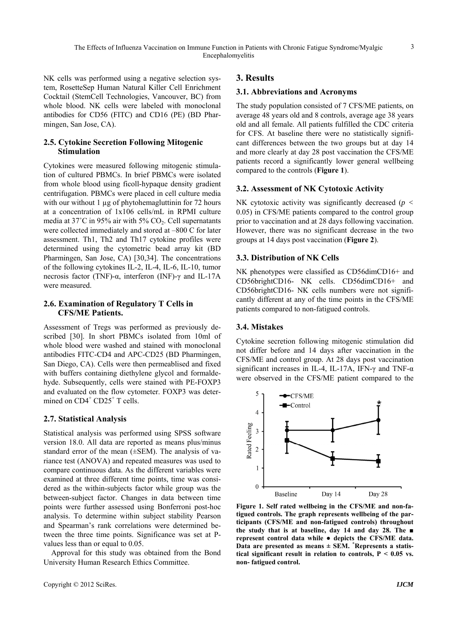NK cells was performed using a negative selection system, RosetteSep Human Natural Killer Cell Enrichment Cocktail (StemCell Technologies, Vancouver, BC) from whole blood. NK cells were labeled with monoclonal antibodies for CD56 (FITC) and CD16 (PE) (BD Pharmingen, San Jose, CA).

## **2.5. Cytokine Secretion Following Mitogenic Stimulation**

Cytokines were measured following mitogenic stimulation of cultured PBMCs. In brief PBMCs were isolated from whole blood using ficoll-hypaque density gradient centrifugation. PBMCs were placed in cell culture media with our without 1 µg of phytohemagluttinin for 72 hours at a concentration of 1x106 cells/mL in RPMI culture media at  $37^{\circ}$ C in 95% air with 5% CO<sub>2</sub>. Cell supernatants were collected immediately and stored at –800 C for later assessment. Th1, Th2 and Th17 cytokine profiles were determined using the cytometric bead array kit (BD Pharmingen, San Jose, CA) [30,34]. The concentrations of the following cytokines IL-2, IL-4, IL-6, IL-10, tumor necrosis factor (TNF)-α, interferon (INF)-γ and IL-17A were measured.

## **2.6. Examination of Regulatory T Cells in CFS/ME Patients.**

Assessment of Tregs was performed as previously described [30]. In short PBMCs isolated from 10ml of whole blood were washed and stained with monoclonal antibodies FITC-CD4 and APC-CD25 (BD Pharmingen, San Diego, CA). Cells were then permeablised and fixed with buffers containing diethylene glycol and formaldehyde. Subsequently, cells were stained with PE-FOXP3 and evaluated on the flow cytometer. FOXP3 was determined on CD4<sup>+</sup> CD25<sup>+</sup> T cells.

# **2.7. Statistical Analysis**

Statistical analysis was performed using SPSS software version 18.0. All data are reported as means plus/minus standard error of the mean (±SEM). The analysis of variance test (ANOVA) and repeated measures was used to compare continuous data. As the different variables were examined at three different time points, time was considered as the within-subjects factor while group was the between-subject factor. Changes in data between time points were further assessed using Bonferroni post-hoc analysis. To determine within subject stability Pearson and Spearman's rank correlations were determined between the three time points. Significance was set at Pvalues less than or equal to 0.05.

Approval for this study was obtained from the Bond University Human Research Ethics Committee.

# **3. Results**

## **3.1. Abbreviations and Acronyms**

The study population consisted of 7 CFS/ME patients, on average 48 years old and 8 controls, average age 38 years old and all female. All patients fulfilled the CDC criteria for CFS. At baseline there were no statistically significant differences between the two groups but at day 14 and more clearly at day 28 post vaccination the CFS/ME patients record a significantly lower general wellbeing compared to the controls (**Figure 1**).

# **3.2. Assessment of NK Cytotoxic Activity**

NK cytotoxic activity was significantly decreased (*p <*  0.05) in CFS/ME patients compared to the control group prior to vaccination and at 28 days following vaccination. However, there was no significant decrease in the two groups at 14 days post vaccination (**Figure 2**).

# **3.3. Distribution of NK Cells**

NK phenotypes were classified as CD56dimCD16+ and CD56brightCD16- NK cells. CD56dimCD16+ and CD56brightCD16- NK cells numbers were not significantly different at any of the time points in the CFS/ME patients compared to non-fatigued controls.

## **3.4. Mistakes**

Cytokine secretion following mitogenic stimulation did not differ before and 14 days after vaccination in the CFS/ME and control group. At 28 days post vaccination significant increases in IL-4, IL-17A, IFN- $\gamma$  and TNF- $\alpha$ were observed in the CFS/ME patient compared to the



**Figure 1. Self rated wellbeing in the CFS/ME and non-fatigued controls. The graph represents wellbeing of the participants (CFS/ME and non-fatigued controls) throughout the study that is at baseline, day 14 and day 28. The ■ represent control data while ● depicts the CFS/ME data. Data are presented as means ± SEM. \* Represents a statistical significant result in relation to controls, P < 0.05 vs. non- fatigued control.** 

3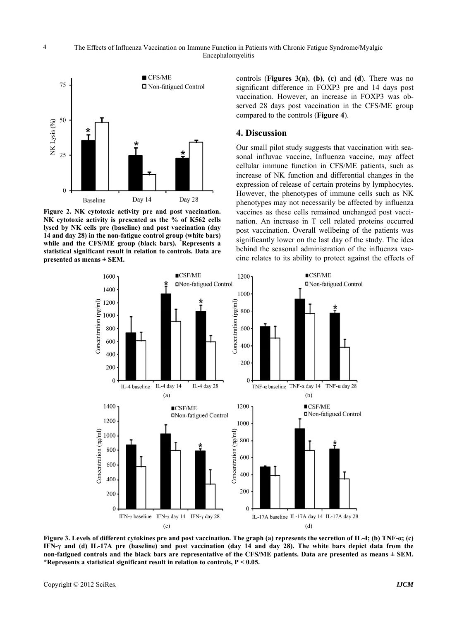

**Figure 2. NK cytotoxic activity pre and post vaccination. NK cytotoxic activity is presented as the % of K562 cells lysed by NK cells pre (baseline) and post vaccination (day 14 and day 28) in the non-fatigue control group (white bars) while and the CFS/ME group (black bars). \* Represents a statistical significant result in relation to controls. Data are presented as means ± SEM.**

controls (**Figures 3(a)**, **(b)**, **(c)** and **(d**). There was no significant difference in FOXP3 pre and 14 days post vaccination. However, an increase in FOXP3 was observed 28 days post vaccination in the CFS/ME group compared to the controls (**Figure 4**).

## **4. Discussion**

Our small pilot study suggests that vaccination with seasonal influvac vaccine, Influenza vaccine, may affect cellular immune function in CFS/ME patients, such as increase of NK function and differential changes in the expression of release of certain proteins by lymphocytes. However, the phenotypes of immune cells such as NK phenotypes may not necessarily be affected by influenza vaccines as these cells remained unchanged post vaccination. An increase in T cell related proteins occurred post vaccination. Overall wellbeing of the patients was significantly lower on the last day of the study. The idea behind the seasonal administration of the influenza vaccine relates to its ability to protect against the effects of



**Figure 3. Levels of different cytokines pre and post vaccination. The graph (a) represents the secretion of IL-4; (b) TNF-α; (c) IFN-γ and (d) IL-17A pre (baseline) and post vaccination (day 14 and day 28). The white bars depict data from the non-fatigued controls and the black bars are representative of the CFS/ME patients. Data are presented as means ± SEM. \*Represents a statistical significant result in relation to controls, P < 0.05.**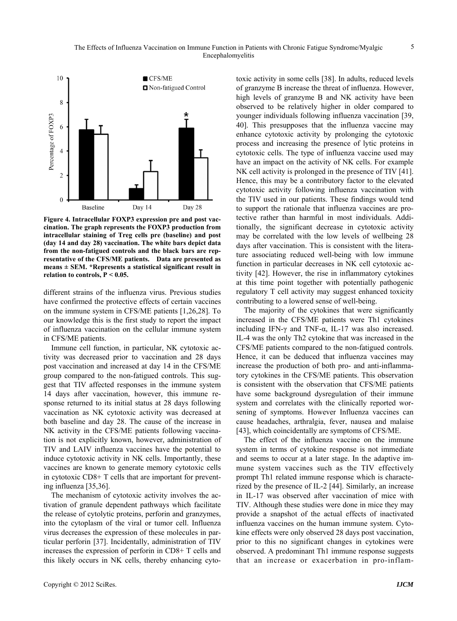

**Figure 4. Intracellular FOXP3 expression pre and post vaccination. The graph represents the FOXP3 production from intracellular staining of Treg cells pre (baseline) and post (day 14 and day 28) vaccination. The white bars depict data from the non-fatigued controls and the black bars are representative of the CFS/ME patients. Data are presented as means ± SEM. \*Represents a statistical significant result in relation to controls, P < 0.05.** 

different strains of the influenza virus. Previous studies have confirmed the protective effects of certain vaccines on the immune system in CFS/ME patients [1,26,28]. To our knowledge this is the first study to report the impact of influenza vaccination on the cellular immune system in CFS/ME patients.

Immune cell function, in particular, NK cytotoxic activity was decreased prior to vaccination and 28 days post vaccination and increased at day 14 in the CFS/ME group compared to the non-fatigued controls. This suggest that TIV affected responses in the immune system 14 days after vaccination, however, this immune response returned to its initial status at 28 days following vaccination as NK cytotoxic activity was decreased at both baseline and day 28. The cause of the increase in NK activity in the CFS/ME patients following vaccination is not explicitly known, however, administration of TIV and LAIV influenza vaccines have the potential to induce cytotoxic activity in NK cells. Importantly, these vaccines are known to generate memory cytotoxic cells in cytotoxic CD8+ T cells that are important for preventing influenza [35,36].

The mechanism of cytotoxic activity involves the activation of granule dependent pathways which facilitate the release of cytolytic proteins, perforin and granzymes, into the cytoplasm of the viral or tumor cell. Influenza virus decreases the expression of these molecules in particular perforin [37]. Incidentally, administration of TIV increases the expression of perforin in CD8+ T cells and this likely occurs in NK cells, thereby enhancing cytotoxic activity in some cells [38]. In adults, reduced levels of granzyme B increase the threat of influenza. However, high levels of granzyme B and NK activity have been observed to be relatively higher in older compared to younger individuals following influenza vaccination [39, 40]. This presupposes that the influenza vaccine may enhance cytotoxic activity by prolonging the cytotoxic process and increasing the presence of lytic proteins in cytotoxic cells. The type of influenza vaccine used may have an impact on the activity of NK cells. For example NK cell activity is prolonged in the presence of TIV [41]. Hence, this may be a contributory factor to the elevated cytotoxic activity following influenza vaccination with the TIV used in our patients. These findings would tend to support the rationale that influenza vaccines are protective rather than harmful in most individuals. Additionally, the significant decrease in cytotoxic activity may be correlated with the low levels of wellbeing 28 days after vaccination. This is consistent with the literature associating reduced well-being with low immune function in particular decreases in NK cell cytotoxic activity [42]. However, the rise in inflammatory cytokines at this time point together with potentially pathogenic regulatory T cell activity may suggest enhanced toxicity contributing to a lowered sense of well-being.

The majority of the cytokines that were significantly increased in the CFS/ME patients were Th1 cytokines including IFN-γ and TNF-α, IL-17 was also increased. IL-4 was the only Th2 cytokine that was increased in the CFS/ME patients compared to the non-fatigued controls. Hence, it can be deduced that influenza vaccines may increase the production of both pro- and anti-inflammatory cytokines in the CFS/ME patients. This observation is consistent with the observation that CFS/ME patients have some background dysregulation of their immune system and correlates with the clinically reported worsening of symptoms. However Influenza vaccines can cause headaches, arthralgia, fever, nausea and malaise [43], which coincidentally are symptoms of CFS/ME.

The effect of the influenza vaccine on the immune system in terms of cytokine response is not immediate and seems to occur at a later stage. In the adaptive immune system vaccines such as the TIV effectively prompt Th1 related immune response which is characterized by the presence of IL-2 [44]. Similarly, an increase in IL-17 was observed after vaccination of mice with TIV. Although these studies were done in mice they may provide a snapshot of the actual effects of inactivated influenza vaccines on the human immune system. Cytokine effects were only observed 28 days post vaccination, prior to this no significant changes in cytokines were observed. A predominant Th1 immune response suggests that an increase or exacerbation in pro-inflam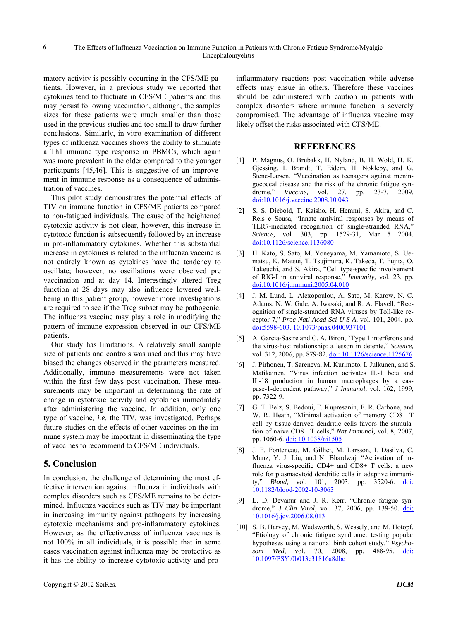matory activity is possibly occurring in the CFS/ME patients. However, in a previous study we reported that cytokines tend to fluctuate in CFS/ME patients and this may persist following vaccination, although, the samples sizes for these patients were much smaller than those used in the previous studies and too small to draw further conclusions. Similarly, in vitro examination of different types of influenza vaccines shows the ability to stimulate a Th1 immune type response in PBMCs, which again was more prevalent in the older compared to the younger participants [45,46]. This is suggestive of an improvement in immune response as a consequence of administration of vaccines.

This pilot study demonstrates the potential effects of TIV on immune function in CFS/ME patients compared to non-fatigued individuals. The cause of the heightened cytotoxic activity is not clear, however, this increase in cytotoxic function is subsequently followed by an increase in pro-inflammatory cytokines. Whether this substantial increase in cytokines is related to the influenza vaccine is not entirely known as cytokines have the tendency to oscillate; however, no oscillations were observed pre vaccination and at day 14. Interestingly altered Treg function at 28 days may also influence lowered wellbeing in this patient group, however more investigations are required to see if the Treg subset may be pathogenic. The influenza vaccine may play a role in modifying the pattern of immune expression observed in our CFS/ME patients.

Our study has limitations. A relatively small sample size of patients and controls was used and this may have biased the changes observed in the parameters measured. Additionally, immune measurements were not taken within the first few days post vaccination. These measurements may be important in determining the rate of change in cytotoxic activity and cytokines immediately after administering the vaccine. In addition, only one type of vaccine, *i.e*. the TIV, was investigated. Perhaps future studies on the effects of other vaccines on the immune system may be important in disseminating the type of vaccines to recommend to CFS/ME individuals.

## **5. Conclusion**

In conclusion, the challenge of determining the most effective intervention against influenza in individuals with complex disorders such as CFS/ME remains to be determined. Influenza vaccines such as TIV may be important in increasing immunity against pathogens by increasing cytotoxic mechanisms and pro-inflammatory cytokines. However, as the effectiveness of influenza vaccines is not 100% in all individuals, it is possible that in some cases vaccination against influenza may be protective as it has the ability to increase cytotoxic activity and proinflammatory reactions post vaccination while adverse effects may ensue in others. Therefore these vaccines should be administered with caution in patients with complex disorders where immune function is severely compromised. The advantage of influenza vaccine may likely offset the risks associated with CFS/ME.

#### **REFERENCES**

- [1] P. Magnus, O. Brubakk, H. Nyland, B. H. Wold, H. K. Gjessing, I. Brandt, T. Eidem, H. Nokleby, and G. Stene-Larsen, "Vaccination as teenagers against meningococcal disease and the risk of the chronic fatigue syndrome," *Vaccine,* vol. 27, pp. 23-7, 2009. doi:10.1016/j.vaccine.2008.10.043
- [2] S. S. Diebold, T. Kaisho, H. Hemmi, S. Akira, and C. Reis e Sousa, "Innate antiviral responses by means of TLR7-mediated recognition of single-stranded RNA," *Science,* vol. 303, pp. 1529-31, Mar 5 2004. doi:10.1126/science.1136080
- [3] H. Kato, S. Sato, M. Yoneyama, M. Yamamoto, S. Uematsu, K. Matsui, T. Tsujimura, K. Takeda, T. Fujita, O. Takeuchi, and S. Akira, "Cell type-specific involvement of RIG-I in antiviral response," *Immunity,* vol. 23, pp. doi:10.1016/j.immuni.2005.04.010
- [4] J. M. Lund, L. Alexopoulou, A. Sato, M. Karow, N. C. Adams, N. W. Gale, A. Iwasaki, and R. A. Flavell, "Recognition of single-stranded RNA viruses by Toll-like receptor 7," *Proc Natl Acad Sci U S A,* vol. 101, 2004, pp. doi:5598-603. 10.1073/pnas.0400937101
- [5] A. Garcia-Sastre and C. A. Biron, "Type 1 interferons and the virus-host relationship: a lesson in detente," *Science,*  vol. 312, 2006, pp. 879-82. doi: 10.1126/science.1125676
- [6] J. Pirhonen, T. Sareneva, M. Kurimoto, I. Julkunen, and S. Matikainen, "Virus infection activates IL-1 beta and IL-18 production in human macrophages by a caspase-1-dependent pathway," *J Immunol,* vol. 162, 1999, pp. 7322-9.
- [7] G. T. Belz, S. Bedoui, F. Kupresanin, F. R. Carbone, and W. R. Heath, "Minimal activation of memory CD8+ T cell by tissue-derived dendritic cells favors the stimulation of naive CD8+ T cells," *Nat Immunol,* vol. 8, 2007, pp. 1060-6. doi: 10.1038/ni1505
- [8] J. F. Fonteneau, M. Gilliet, M. Larsson, I. Dasilva, C. Munz, Y. J. Liu, and N. Bhardwaj, "Activation of influenza virus-specific CD4+ and CD8+ T cells: a new role for plasmacytoid dendritic cells in adaptive immunity," *Blood,* vol. 101, 2003, pp. 3520-6. doi: 10.1182/blood-2002-10-3063
- [9] L. D. Devanur and J. R. Kerr, "Chronic fatigue syndrome," *J Clin Virol,* vol. 37, 2006, pp. 139-50. doi: 10.1016/j.jcv.2006.08.013
- [10] S. B. Harvey, M. Wadsworth, S. Wessely, and M. Hotopf, "Etiology of chronic fatigue syndrome: testing popular hypotheses using a national birth cohort study," *Psychosom Med,* vol. 70, 2008, pp. 488-95. doi: 10.1097/PSY.0b013e31816a8dbc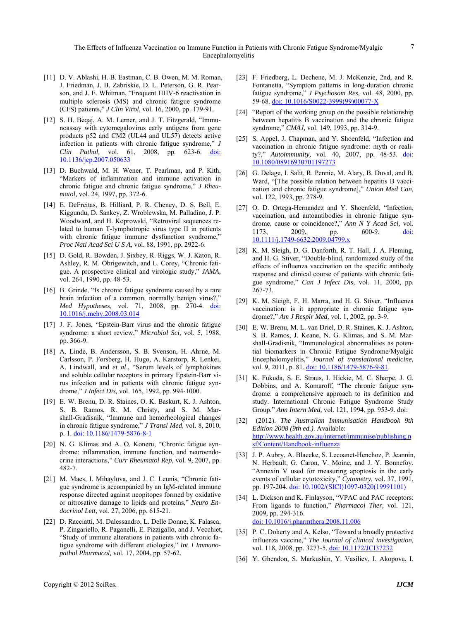The Effects of Influenza Vaccination on Immune Function in Patients with Chronic Fatigue Syndrome/Myalgic Encephalomyelitis

- [11] D. V. Ablashi, H. B. Eastman, C. B. Owen, M. M. Roman, J. Friedman, J. B. Zabriskie, D. L. Peterson, G. R. Pearson, and J. E. Whitman, "Frequent HHV-6 reactivation in multiple sclerosis (MS) and chronic fatigue syndrome (CFS) patients," *J Clin Virol,* vol. 16, 2000, pp. 179-91.
- [12] S. H. Begaj, A. M. Lerner, and J. T. Fitzgerald, "Immunoassay with cytomegalovirus early antigens from gene products p52 and CM2 (UL44 and UL57) detects active infection in patients with chronic fatigue syndrome," *J Clin Pathol,* vol. 61, 2008, pp. 623-6. doi: 10.1136/jcp.2007.050633
- [13] D. Buchwald, M. H. Wener, T. Pearlman, and P. Kith, "Markers of inflammation and immune activation in chronic fatigue and chronic fatigue syndrome," *J Rheumatol,* vol. 24, 1997, pp. 372-6.
- [14] E. DeFreitas, B. Hilliard, P. R. Cheney, D. S. Bell, E. Kiggundu, D. Sankey, Z. Wroblewska, M. Palladino, J. P. Woodward, and H. Koprowski, "Retroviral sequences related to human T-lymphotropic virus type II in patients with chronic fatigue immune dysfunction syndrome," *Proc Natl Acad Sci U S A,* vol. 88, 1991, pp. 2922-6.
- [15] D. Gold, R. Bowden, J. Sixbey, R. Riggs, W. J. Katon, R. Ashley, R. M. Obrigewitch, and L. Corey, "Chronic fatigue. A prospective clinical and virologic study," *JAMA,*  vol. 264, 1990, pp. 48-53.
- [16] B. Grinde, "Is chronic fatigue syndrome caused by a rare brain infection of a common, normally benign virus?," *Med Hypotheses,* vol. 71, 2008, pp. 270-4. doi: 10.1016/j.mehy.2008.03.014
- [17] J. F. Jones, "Epstein-Barr virus and the chronic fatigue syndrome: a short review," *Microbiol Sci,* vol. 5, 1988, pp. 366-9.
- [18] A. Linde, B. Andersson, S. B. Svenson, H. Ahrne, M. Carlsson, P. Forsberg, H. Hugo, A. Karstorp, R. Lenkei, A. Lindwall, and *et al*., "Serum levels of lymphokines and soluble cellular receptors in primary Epstein-Barr virus infection and in patients with chronic fatigue syndrome," *J Infect Dis,* vol. 165, 1992, pp. 994-1000.
- [19] E. W. Brenu, D. R. Staines, O. K. Baskurt, K. J. Ashton, S. B. Ramos, R. M. Christy, and S. M. Marshall-Gradisnik, "Immune and hemorheological changes in chronic fatigue syndrome," *J Transl Med,* vol. 8, 2010, p. 1. doi: 10.1186/1479-5876-8-1
- [20] N. G. Klimas and A. O. Koneru, "Chronic fatigue syndrome: inflammation, immune function, and neuroendocrine interactions," *Curr Rheumatol Rep,* vol. 9, 2007, pp. 482-7.
- [21] M. Maes, I. Mihaylova, and J. C. Leunis, "Chronic fatigue syndrome is accompanied by an IgM-related immune response directed against neopitopes formed by oxidative or nitrosative damage to lipids and proteins," *Neuro Endocrinol Lett,* vol. 27, 2006, pp. 615-21.
- [22] D. Racciatti, M. Dalessandro, L. Delle Donne, K. Falasca, P. Zingariello, R. Paganelli, E. Pizzigallo, and J. Vecchiet, "Study of immune alterations in patients with chronic fatigue syndrome with different etiologies," *Int J Immunopathol Pharmacol,* vol. 17, 2004, pp. 57-62.
- [23] F. Friedberg, L. Dechene, M. J. McKenzie, 2nd, and R. Fontanetta, "Symptom patterns in long-duration chronic fatigue syndrome," *J Psychosom Res,* vol. 48, 2000, pp. 59-68. doi: 10.1016/S0022-3999(99)00077-X
- [24] "Report of the working group on the possible relationship between hepatitis B vaccination and the chronic fatigue syndrome," *CMAJ,* vol. 149, 1993, pp. 314-9.
- [25] S. Appel, J. Chapman, and Y. Shoenfeld, "Infection and vaccination in chronic fatigue syndrome: myth or reality?," *Autoimmunity,* vol. 40, 2007, pp. 48-53. doi: 10.1080/08916930701197273
- [26] G. Delage, I. Salit, R. Pennie, M. Alary, B. Duval, and B. Ward, "[The possible relation between hepatitis B vaccination and chronic fatigue syndrome]," *Union Med Can,*  vol. 122, 1993, pp. 278-9.
- [27] O. D. Ortega-Hernandez and Y. Shoenfeld, "Infection, vaccination, and autoantibodies in chronic fatigue syndrome, cause or coincidence?," *Ann N Y Acad Sci,* vol. 1173, 2009, pp. 600-9. doi: 10.1111/j.1749-6632.2009.04799.x
- [28] K. M. Sleigh, D. G. Danforth, R. T. Hall, J. A. Fleming, and H. G. Stiver, "Double-blind, randomized study of the effects of influenza vaccination on the specific antibody response and clinical course of patients with chronic fatigue syndrome," *Can J Infect Dis,* vol. 11, 2000, pp. 267-73.
- [29] K. M. Sleigh, F. H. Marra, and H. G. Stiver, "Influenza vaccination: is it appropriate in chronic fatigue syndrome?," *Am J Respir Med,* vol. 1, 2002, pp. 3-9.
- [30] E. W. Brenu, M. L. van Driel, D. R. Staines, K. J. Ashton, S. B. Ramos, J. Keane, N. G. Klimas, and S. M. Marshall-Gradisnik, "Immunological abnormalities as potential biomarkers in Chronic Fatigue Syndrome/Myalgic Encephalomyelitis," *Journal of translational medicine,*  vol. 9, 2011, p. 81. doi: 10.1186/1479-5876-9-81
- [31] K. Fukuda, S. E. Straus, I. Hickie, M. C. Sharpe, J. G. Dobbins, and A. Komaroff, "The chronic fatigue syndrome: a comprehensive approach to its definition and study. International Chronic Fatigue Syndrome Study Group," *Ann Intern Med,* vol. 121, 1994, pp. 953-9. doi:
- [32] (2012). *The Australian Immunisation Handbook 9th Edition 2008 (9th ed.)*. Available: http://www.health.gov.au/internet/immunise/publishing.n sf/Content/Handbook-influenza
- [33] J. P. Aubry, A. Blaecke, S. Lecoanet-Henchoz, P. Jeannin, N. Herbault, G. Caron, V. Moine, and J. Y. Bonnefoy, "Annexin V used for measuring apoptosis in the early events of cellular cytotoxicity," *Cytometry,* vol. 37, 1991, pp. 197-204. doi: 10.1002/(SICI)1097-0320(19991101)
- [34] L. Dickson and K. Finlayson, "VPAC and PAC receptors: From ligands to function," *Pharmacol Ther,* vol. 121, 2009, pp. 294-316. doi: 10.1016/j.pharmthera.2008.11.006
- [35] P. C. Doherty and A. Kelso, "Toward a broadly protective influenza vaccine," *The Journal of clinical investigation,*  vol. 118, 2008, pp. 3273-5. doi: 10.1172/JCI37232
- [36] Y. Ghendon, S. Markushin, Y. Vasiliev, I. Akopova, I.